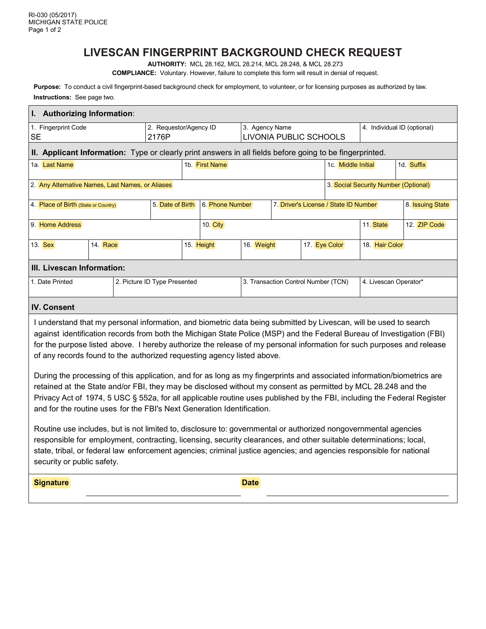# **LIVESCAN FINGERPRINT BACKGROUND CHECK REQUEST**

**AUTHORITY:** MCL 28.162, MCL 28.214, MCL 28.248, & MCL 28.273

**COMPLIANCE:** Voluntary. However, failure to complete this form will result in denial of request.

**Purpose:** To conduct a civil fingerprint-based background check for employment, to volunteer, or for licensing purposes as authorized by law. **Instructions:** See page two.

| I. Authorizing Information:                                                                                                                                                                                                                                                                                                                                                                                                                    |                                     |  |                                 |                |  |                                          |                                       |               |                         |                             |  |
|------------------------------------------------------------------------------------------------------------------------------------------------------------------------------------------------------------------------------------------------------------------------------------------------------------------------------------------------------------------------------------------------------------------------------------------------|-------------------------------------|--|---------------------------------|----------------|--|------------------------------------------|---------------------------------------|---------------|-------------------------|-----------------------------|--|
| 1. Fingerprint Code<br><b>SE</b>                                                                                                                                                                                                                                                                                                                                                                                                               |                                     |  | 2. Requestor/Agency ID<br>2176P |                |  | 3. Agency Name<br>LIVONIA PUBLIC SCHOOLS |                                       |               |                         | 4. Individual ID (optional) |  |
| II. Applicant Information: Type or clearly print answers in all fields before going to be fingerprinted.                                                                                                                                                                                                                                                                                                                                       |                                     |  |                                 |                |  |                                          |                                       |               |                         |                             |  |
| 1a. Last Name                                                                                                                                                                                                                                                                                                                                                                                                                                  |                                     |  |                                 | 1b. First Name |  |                                          | 1c. Middle Initial                    |               | 1d. Suffix              |                             |  |
| 3. Social Security Number (Optional)<br>2. Any Alternative Names, Last Names, or Aliases                                                                                                                                                                                                                                                                                                                                                       |                                     |  |                                 |                |  |                                          |                                       |               |                         |                             |  |
| 4. Place of Birth (State or Country)                                                                                                                                                                                                                                                                                                                                                                                                           | 5. Date of Birth<br>6. Phone Number |  |                                 |                |  |                                          | 7. Driver's License / State ID Number |               | 8. <b>Issuing State</b> |                             |  |
| 9. Home Address                                                                                                                                                                                                                                                                                                                                                                                                                                | 10. City                            |  |                                 |                |  |                                          |                                       | 11. State     | 12. ZIP Code            |                             |  |
| 13. Sex                                                                                                                                                                                                                                                                                                                                                                                                                                        | 14. Race                            |  |                                 | 15. Height     |  |                                          | 16. Weight                            | 17. Eye Color |                         | 18. Hair Color              |  |
| III. Livescan Information:                                                                                                                                                                                                                                                                                                                                                                                                                     |                                     |  |                                 |                |  |                                          |                                       |               |                         |                             |  |
| 1. Date Printed                                                                                                                                                                                                                                                                                                                                                                                                                                |                                     |  | 2. Picture ID Type Presented    |                |  | 3. Transaction Control Number (TCN)      |                                       |               |                         | 4. Livescan Operator*       |  |
| <b>IV. Consent</b>                                                                                                                                                                                                                                                                                                                                                                                                                             |                                     |  |                                 |                |  |                                          |                                       |               |                         |                             |  |
| I understand that my personal information, and biometric data being submitted by Livescan, will be used to search<br>against identification records from both the Michigan State Police (MSP) and the Federal Bureau of Investigation (FBI)<br>for the purpose listed above. I hereby authorize the release of my personal information for such purposes and release<br>of any records found to the authorized requesting agency listed above. |                                     |  |                                 |                |  |                                          |                                       |               |                         |                             |  |
| During the processing of this application, and for as long as my fingerprints and associated information/biometrics are<br>retained at the State and/or FBI, they may be disclosed without my consent as permitted by MCL 28.248 and the<br>Privacy Act of 1974, 5 USC § 552a, for all applicable routine uses published by the FBI, including the Federal Register<br>and for the routine uses for the FBI's Next Generation Identification.  |                                     |  |                                 |                |  |                                          |                                       |               |                         |                             |  |
| Routine use includes, but is not limited to, disclosure to: governmental or authorized nongovernmental agencies<br>responsible for employment, contracting, licensing, security clearances, and other suitable determinations; local,<br>state, tribal, or federal law enforcement agencies; criminal justice agencies; and agencies responsible for national<br>security or public safety.                                                    |                                     |  |                                 |                |  |                                          |                                       |               |                         |                             |  |
| <b>Signature</b>                                                                                                                                                                                                                                                                                                                                                                                                                               |                                     |  |                                 |                |  | <b>Date</b>                              |                                       |               |                         |                             |  |